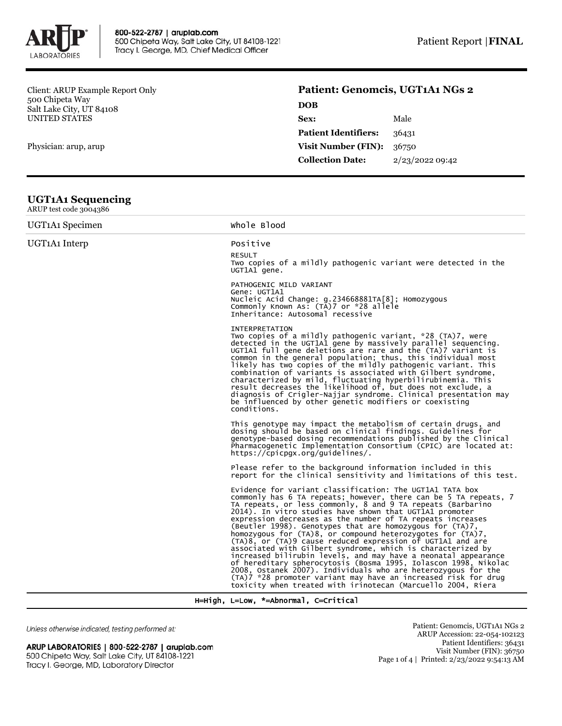

Client: ARUP Example Report Only 500 Chipeta Way Salt Lake City, UT 84108 UNITED STATES

Physician: arup, arup

## **Patient: Genomcis, UGT1A1 NGs 2**

| 2/23/2022 09:42 |
|-----------------|
|                 |

## **UGT1A1 Sequencing**

| ARUP test code 3004386                   |                                                                                                                                                                                                                                                                                                                                                                                                                                                                                                                                                                                                                                                                                                                                                                                                                                                                                                                     |  |  |  |  |
|------------------------------------------|---------------------------------------------------------------------------------------------------------------------------------------------------------------------------------------------------------------------------------------------------------------------------------------------------------------------------------------------------------------------------------------------------------------------------------------------------------------------------------------------------------------------------------------------------------------------------------------------------------------------------------------------------------------------------------------------------------------------------------------------------------------------------------------------------------------------------------------------------------------------------------------------------------------------|--|--|--|--|
| UGT <sub>1</sub> A <sub>1</sub> Specimen | Whole Blood                                                                                                                                                                                                                                                                                                                                                                                                                                                                                                                                                                                                                                                                                                                                                                                                                                                                                                         |  |  |  |  |
| UGT <sub>1</sub> A <sub>1</sub> Interp   | Positive<br><b>RESULT</b><br>Two copies of a mildly pathogenic variant were detected in the<br>UGT1A1 gene.                                                                                                                                                                                                                                                                                                                                                                                                                                                                                                                                                                                                                                                                                                                                                                                                         |  |  |  |  |
|                                          | PATHOGENIC MILD VARIANT<br>Gene: UGT1A1<br>Nucleic Acid Change: g.234668881TA[8]; Homozygous<br>Commonly Known As: (TA)7 or *28 allele<br>Inheritance: Autosomal recessive                                                                                                                                                                                                                                                                                                                                                                                                                                                                                                                                                                                                                                                                                                                                          |  |  |  |  |
|                                          | <b>INTERPRETATION</b><br>Two copies of a mildly pathogenic variant, *28 (TA)7, were<br>detected in the UGT1A1 gene by massively parallel sequencing.<br>UGT1A1 full gene deletions are rare and the $(TA)$ variant is<br>common in the general population; thus, this individual most<br>likely has two copies of the mildly pathogenic variant. This<br>combination of variants is associated with Gilbert syndrome,<br>characterized by mild, fluctuating hyperbilirubinemia. This<br>result decreases the likelihood of, but does not exclude, a<br>diagnosis of Crigler-Najjar syndrome. Clinical presentation may<br>be influenced by other genetic modifiers or coexisting<br>conditions.                                                                                                                                                                                                                     |  |  |  |  |
|                                          | This genotype may impact the metabolism of certain drugs, and<br>dosing should be based on clinical findings. Guidelines for<br>genotype-based dosing recommendations published by the Clinical<br>Pharmacogenetic Implementation Consortium (CPIC) are located at:<br>$https://epicpqx.org/quidelines/$ .                                                                                                                                                                                                                                                                                                                                                                                                                                                                                                                                                                                                          |  |  |  |  |
|                                          | Please refer to the background information included in this<br>report for the clinical sensitivity and limitations of this test.                                                                                                                                                                                                                                                                                                                                                                                                                                                                                                                                                                                                                                                                                                                                                                                    |  |  |  |  |
|                                          | Evidence for variant classification: The UGT1A1 TATA box<br>commonly has 6 TA repeats; however, there can be 5 TA repeats, 7<br>TA repeats, or less commonly, 8 and 9 TA repeats (Barbarino<br>2014). In vitro studies have shown that UGT1A1 promoter<br>expression decreases as the number of TA repeats increases<br>(Beutler 1998). Genotypes that are homozygous for (TA)7,<br>homozygous for (TA)8, or compound heterozygotes for (TA)7,<br>(TA)8, or (TA)9 cause reduced expression of UGT1A1 and are<br>associated with Gilbert syndrome, which is characterized by<br>increased bilirubin levels, and may have a neonatal appearance<br>of hereditary spherocytosis (Bosma 1995, Iolascon 1998, Nikolac<br>2008, Ostanek 2007). Individuals who are heterozygous for the<br>(TA)7 *28 promoter variant may have an increased risk for drug<br>toxicity when treated with irinotecan (Marcuello 2004, Riera |  |  |  |  |

H=High, L=Low, \*=Abnormal, C=Critical

Unless otherwise indicated, testing performed at:

## ARUP LABORATORIES | 800-522-2787 | aruplab.com 500 Chipeta Way, Salt Lake City, UT 84108-1221 Tracy I. George, MD, Laboratory Director

Patient: Genomcis, UGT1A1 NGs 2 ARUP Accession: 22-054-102123 Patient Identifiers: 36431 Visit Number (FIN): 36750 Page 1 of 4 | Printed: 2/23/2022 9:54:13 AM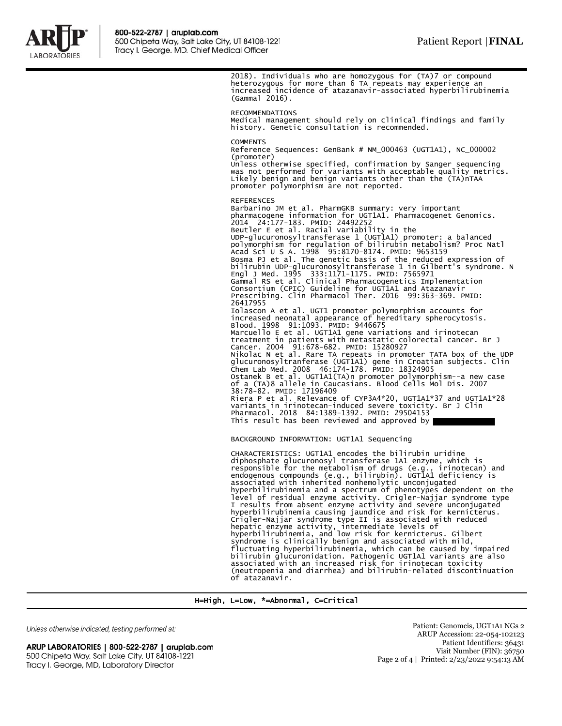

2018). Individuals who are homozygous for (TA)7 or compound heterozygous for more than 6 TA repeats may experience an increased incidence of atazanavir-associated hyperbilirubinemia (Gammal 2016). RECOMMENDATIONS

Medical management should rely on clinical findings and family history. Genetic consultation is recommended.

**COMMENTS** 

Reference Sequences: GenBank # NM\_000463 (UGT1A1), NC\_000002 (promoter) Unless otherwise specified, confirmation by Sanger sequencing

was not performed for variants with acceptable quality metrics. Likely benign and benign variants other than the (TA)nTAA promoter polymorphism are not reported.

REFERENCES Barbarino JM et al. PharmGKB summary: very important pharmacogene information for UGT1A1. Pharmacogenet Genomics. 2014 24:177-183. PMID: 24492252 Beutler E et al. Racial variability in the UDP-glucuronosyltransferase 1 (UGT1A1) promoter: a balanced<br>polymorphism for regulation of bilirubin metabolism? Proc Natl<br>Acad Sci U S A. 1998 95:8170-8174. PMID: 9653159<br>Bosma PJ et al. The genetic basis of the reduced bilirubin UDP-glucuronosyltransferase 1 in Gilbert's syndrome. N Engl J Med. 1995 333:1171-1175. PMID: 7565971 Gammal RS et al. Clinical Pharmacogenetics Implementation Consortium (CPIC) Guideline for UGT1A1 and Atazanavir Prescribing. Clin Pharmacol Ther. 2016 99:363-369. PMID: 26417955 Iolascon A et al. UGT1 promoter polymorphism accounts for increased neonatal appearance of hereditary spherocytosis. Blood. 1998 91:1093. PMID: 9446675 Marcuello E et al. UGT1A1 gene variations and irinotecan treatment in patients with metastatic colorectal cancer. Br J Cancer. 2004 91:678-682. PMID: 15280927<br>Nikolac N et al. Rare TA repeats in promoter TATA box of the UDP<br>glucuronosyltranferase (UGTIA1) gene in Croatian subjects. Clin<br>Chem Lab Med. 2008 46:174-178. PMID: 18324905<br>Ostan of a (TA)8 allele in Caucasians. Blood Cells Mol Dis. 2007<br>38:78-82. PMID: 17196409<br>Riera P et al. Relevance of CYP3A4\*20, UGT1A1\*37 and UGT1A1\*28<br>variants in irinotecan-induced severe toxicity. Br J Clin<br>Pharmacol. 2018 8 This result has been reviewed and approved by

BACKGROUND INFORMATION: UGT1A1 Sequencing

CHARACTERISTICS: UGT1A1 encodes the bilirubin uridine diphosphate glucuronosyl transferase 1A1 enzyme, which is responsible for the metabolism of drugs (e.g., irinotecan) and endogenous compounds (e.g., bilirubin). UGT1A1 deficiency is associated with inherited nonhemolytic unconjugated hyperbilirubinemia and a spectrum of phenotypes dependent on the level of residual enzyme activity. Crigler-Najjar syndrome type I results from absent enzyme activity and severe unconjugated hyperbilirubinemia causing jaundice and risk for kernicterus. Crigler-Najjar syndrome type II is associated with reduced hepatic enzyme activity, intermediate levels of hyperbilirubinemia, and low risk for kernicterus. Gilbert syndrome is clinically benign and associated with mild, fluctuating hyperbilirubinemia, which can be caused by impaired bilirubin glucuronidation. Pathogenic UGT1A1 variants are also associated with an increased risk for irinotecan toxicity (neutropenia and diarrhea) and bilirubin-related discontinuation of atazanavir.

H=High, L=Low, \*=Abnormal, C=Critical

Unless otherwise indicated, testing performed at:

ARUP LABORATORIES | 800-522-2787 | aruplab.com 500 Chipeta Way, Salt Lake City, UT 84108-1221 Tracy I. George, MD, Laboratory Director

Patient: Genomcis, UGT1A1 NGs 2 ARUP Accession: 22-054-102123 Patient Identifiers: 36431 Visit Number (FIN): 36750 Page 2 of 4 | Printed: 2/23/2022 9:54:13 AM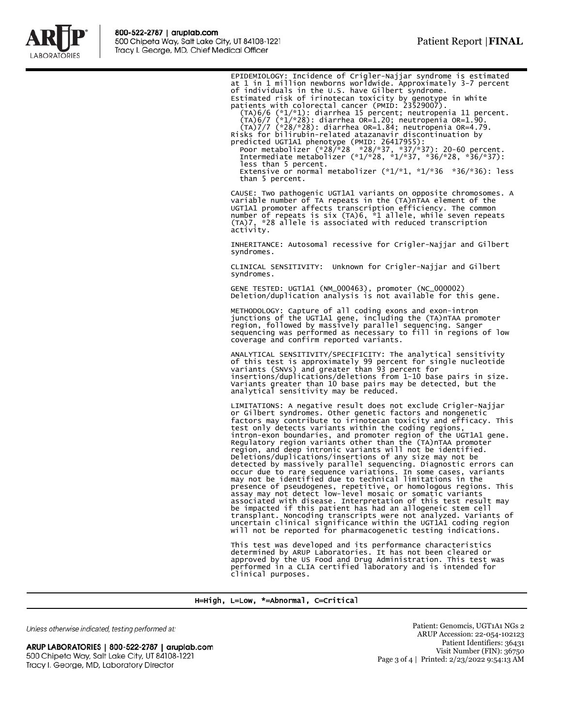

EPIDEMIOLOGY: Incidence of Crigler-Najjar syndrome is estimated<br>at 1 in 1 million newborns worldwide. Approximately 3-7 percent<br>of individuals in the U.S. have Gilbert syndrome.<br>Estimated risk of irinotecan toxicity by gen less than 5 percent. Extensive or normal metabolizer  $(*1/*1, *1/*36 *36/*36)$ : less than 5 percent. CAUSE: Two pathogenic UGT1A1 variants on opposite chromosomes. A variable number of TA repeats in the (TA)nTAA element of the UGT1A1 promoter affects transcription efficiency. The common number of repeats is six (TA)6, \*1 allele, while seven repeats (TA)7, \*28 allele is associated with reduced transcription activity. INHERITANCE: Autosomal recessive for Crigler-Najjar and Gilbert syndromes. CLINICAL SENSITIVITY: Unknown for Crigler-Najjar and Gilbert syndromes. GENE TESTED: UGT1A1 (NM\_000463), promoter (NC\_000002) Deletion/duplication analysis is not available for this gene. METHODOLOGY: Capture of all coding exons and exon-intron<br>junctions of the UGT1A1 gene, including the (TA)nTAA promoter<br>region, followed by massively parallel sequencing. Sanger<br>sequencing was performed as necessary to fill coverage and confirm reported variants. ANALYTICAL SENSITIVITY/SPECIFICITY: The analytical sensitivity of this test is approximately 99 percent for single nucleotide variants (SNVs) and greater than 93 percent for insertions/duplications/deletions from 1-10 base pairs in size. Variants greater than 10 base pairs may be detected, but the analytical sensitivity may be reduced. LIMITATIONS: A negative result does not exclude Crigler-Najjar or Gilbert syndromes. Other genetic factors and nongenetic factors may contribute to irinotecan toxicity and efficacy. This test only detects variants within the coding regions, intron-exon boundaries, and promoter region of the UGT1A1 gene. Regulatory region variants other than the (TA)nTAA promoter region, and deep intronic variants will not be identified. Deletions/duplications/insertions of any size may not be<br>detected by massively parallel sequencing. Diagnostic errors can<br>occur due to rare sequence variations. In some cases, variants<br>may not be identified due to technica associated with disease. Interpretation of this test result may<br>be impacted if this patient has had an allogeneic stem cell<br>transplant. Noncoding transcripts were not analyzed. Variants of<br>uncertain clinical significance w This test was developed and its performance characteristics<br>determined by ARUP Laboratories. It has not been cleared or<br>approved by the US Food and Drug Administration. This test was<br>performed in a CLIA certified laborator clinical purposes.

H=High, L=Low, \*=Abnormal, C=Critical

Unless otherwise indicated, testing performed at:

ARUP LABORATORIES | 800-522-2787 | aruplab.com 500 Chipeta Way, Salt Lake City, UT 84108-1221 Tracy I. George, MD, Laboratory Director

Patient: Genomcis, UGT1A1 NGs 2 ARUP Accession: 22-054-102123 Patient Identifiers: 36431 Visit Number (FIN): 36750 Page 3 of 4 | Printed: 2/23/2022 9:54:13 AM